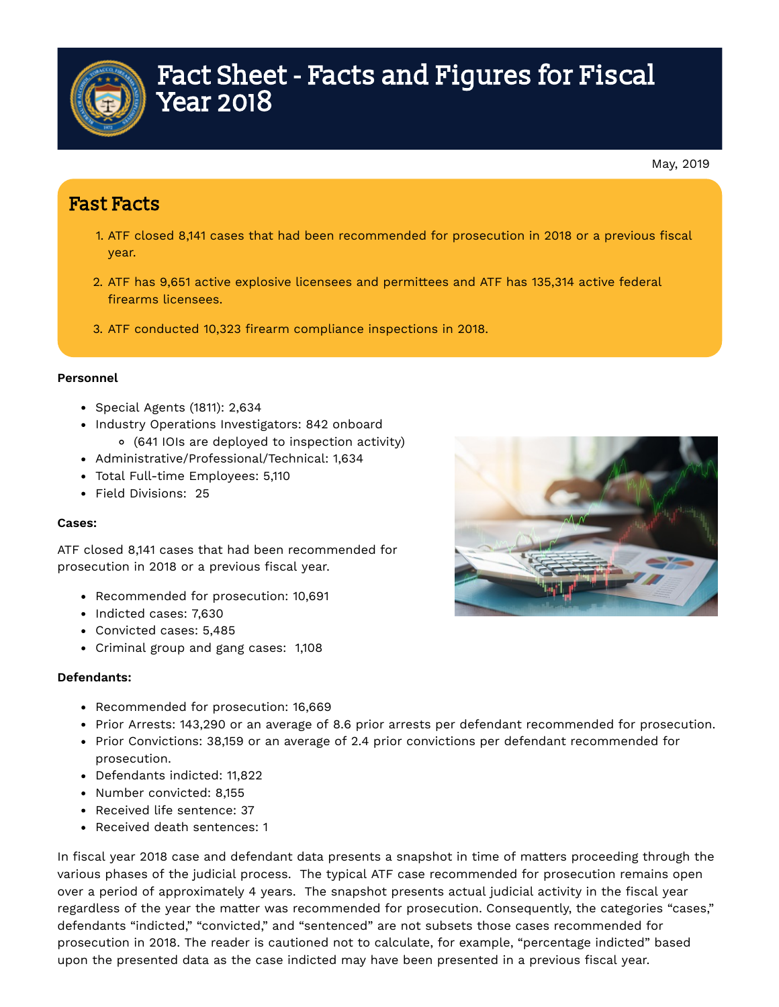

# Fact Sheet - Facts and Figures for Fiscal Year 2018

## Fast Facts

- 1. ATF closed 8,141 cases that had been recommended for prosecution in 2018 or a previous fiscal year.
- 2. ATF has 9,651 active explosive licensees and permittees and ATF has 135,314 active federal firearms licensees.
- 3. ATF conducted 10,323 firearm compliance inspections in 2018.

#### **Personnel**

- Special Agents (1811): 2,634
- Industry Operations Investigators: 842 onboard
	- (641 IOIs are deployed to inspection activity)
- Administrative/Professional/Technical: 1,634
- Total Full-time Employees: 5,110
- Field Divisions: 25

#### **Cases:**

ATF closed 8,141 cases that had been recommended for prosecution in 2018 or a previous fiscal year.

- Recommended for prosecution: 10,691
- Indicted cases: 7,630
- Convicted cases: 5,485
- Criminal group and gang cases: 1,108

#### **Defendants:**

- Recommended for prosecution: 16,669
- Prior Arrests: 143,290 or an average of 8.6 prior arrests per defendant recommended for prosecution.
- Prior Convictions: 38,159 or an average of 2.4 prior convictions per defendant recommended for prosecution.
- Defendants indicted: 11,822
- Number convicted: 8.155
- Received life sentence: 37
- Received death sentences: 1

In fiscal year 2018 case and defendant data presents a snapshot in time of matters proceeding through the various phases of the judicial process. The typical ATF case recommended for prosecution remains open over a period of approximately 4 years. The snapshot presents actual judicial activity in the fiscal year regardless of the year the matter was recommended for prosecution. Consequently, the categories "cases," defendants "indicted," "convicted," and "sentenced" are not subsets those cases recommended for prosecution in 2018. The reader is cautioned not to calculate, for example, "percentage indicted" based upon the presented data as the case indicted may have been presented in a previous fiscal year.

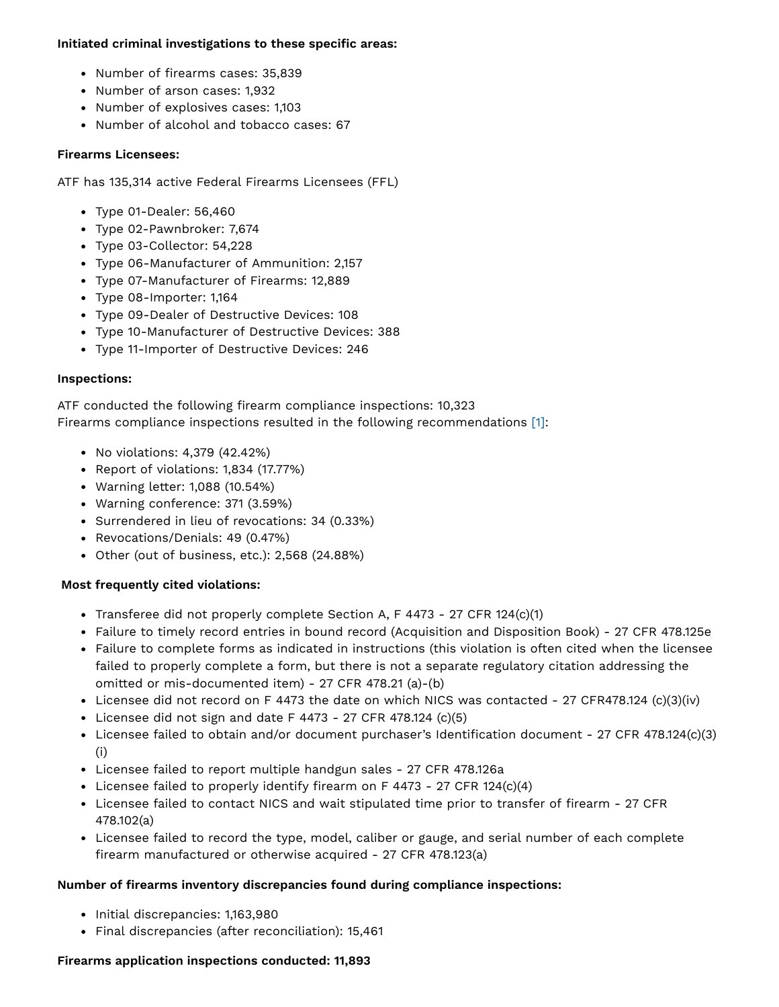#### **Initiated** criminal investigations to these specific areas:

- Number of firearms cases: 35,839
- Number of arson cases: 1,932
- Number of explosives cases: 1,103
- Number of alcohol and tobacco cases: 67

#### **Firearms Licensees:**

ATF has 135,314 active Federal Firearms Licensees (FFL)

- Type 01-Dealer: 56,460
- Type 02-Pawnbroker: 7,674
- Type 03-Collector: 54,228
- Type 06-Manufacturer of Ammunition: 2,157
- Type 07-Manufacturer of Firearms: 12,889
- Type 08-Importer: 1,164
- Type 09-Dealer of Destructive Devices: 108
- Type 10-Manufacturer of Destructive Devices: 388
- Type 11-Importer of Destructive Devices: 246

#### **Inspections:**

ATF conducted the following firearm compliance inspections: 10,323 Firearms compliance inspections resulted in the following recommendations [1]:

- No violations: 4,379 (42.42%)
- Report of violations: 1,834 (17.77%)
- Warning letter: 1,088 (10.54%)
- Warning conference: 371 (3.59%)
- Surrendered in lieu of revocations: 34 (0.33%)
- Revocations/Denials: 49 (0.47%)
- Other (out of business, etc.): 2,568 (24.88%)

#### **Most frequently cited violations:**

- Transferee did not properly complete Section A, F 4473 27 CFR 124(c)(1)
- Failure to timely record entries in bound record (Acquisition and Disposition Book) 27 CFR 478.125e
- Failure to complete forms as indicated in instructions (this violation is often cited when the licensee failed to properly complete a form, but there is not a separate regulatory citation addressing the omitted or mis-documented item) - 27 CFR 478.21 (a)-(b)
- Licensee did not record on F 4473 the date on which NICS was contacted 27 CFR478.124 (c)(3)(iv)
- Licensee did not sign and date  $F$  4473 27 CFR 478.124 (c)(5)
- Licensee failed to obtain and/or document purchaser's Identification document 27 CFR 478.124(c)(3) (i)
- Licensee failed to report multiple handgun sales 27 CFR 478.126a
- Licensee failed to properly identify firearm on F 4473 27 CFR 124(c)(4)
- Licensee failed to contact NICS and wait stipulated time prior to transfer of firearm 27 CFR 478.102(a)
- Licensee failed to record the type, model, caliber or gauge, and serial number of each complete firearm manufactured or otherwise acquired - 27 CFR 478.123(a)

#### **Number of rearms inventory discrepancies found during compliance inspections:**

- Initial discrepancies: 1,163,980
- Final discrepancies (after reconciliation): 15,461

### **Firearms application inspections conducted: 11,893**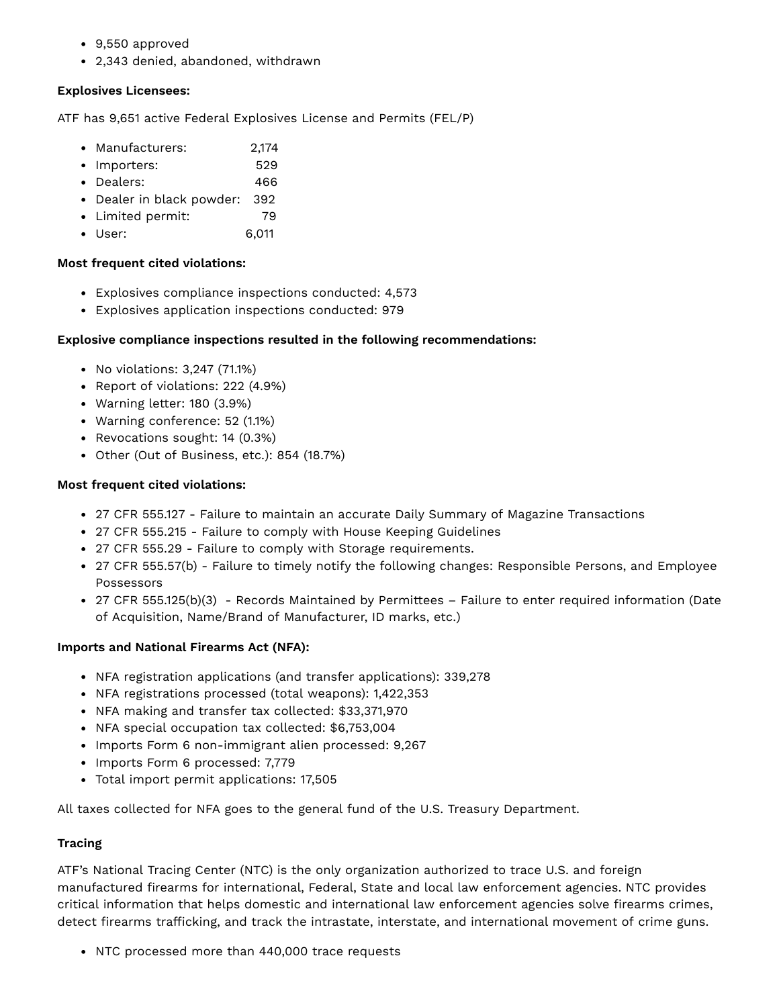- 9,550 approved
- 2,343 denied, abandoned, withdrawn

#### **Explosives Licensees:**

ATF has 9,651 active Federal Explosives License and Permits (FEL/P)

- Manufacturers: 2,174
- Importers: 529
- Dealers: 466
- Dealer in black powder: 392
- Limited permit: 79
- User: 6,011

#### **Most frequent cited violations:**

- Explosives compliance inspections conducted: 4,573
- Explosives application inspections conducted: 979

#### **Explosive compliance inspections resulted in the following recommendations:**

- No violations: 3,247 (71.1%)
- Report of violations: 222 (4.9%)
- Warning letter: 180 (3.9%)
- Warning conference: 52 (1.1%)
- Revocations sought: 14 (0.3%)
- Other (Out of Business, etc.): 854 (18.7%)

#### **Most frequent cited violations:**

- 27 CFR 555.127 Failure to maintain an accurate Daily Summary of Magazine Transactions
- 27 CFR 555.215 Failure to comply with House Keeping Guidelines
- 27 CFR 555.29 Failure to comply with Storage requirements.
- 27 CFR 555.57(b) Failure to timely notify the following changes: Responsible Persons, and Employee Possessors
- 27 CFR 555.125(b)(3) Records Maintained by Permittees Failure to enter required information (Date of Acquisition, Name/Brand of Manufacturer, ID marks, etc.)

#### **Imports and National Firearms Act (NFA):**

- NFA registration applications (and transfer applications): 339,278
- NFA registrations processed (total weapons): 1,422,353
- NFA making and transfer tax collected: \$33,371,970
- NFA special occupation tax collected: \$6,753,004
- Imports Form 6 non-immigrant alien processed: 9,267
- Imports Form 6 processed: 7,779
- Total import permit applications: 17,505

All taxes collected for NFA goes to the general fund of the U.S. Treasury Department.

#### **Tracing**

ATF's National Tracing Center (NTC) is the only organization authorized to trace U.S. and foreign manufactured firearms for international, Federal, State and local law enforcement agencies. NTC provides critical information that helps domestic and international law enforcement agencies solve firearms crimes, detect firearms trafficking, and track the intrastate, interstate, and international movement of crime guns.

• NTC processed more than 440,000 trace requests